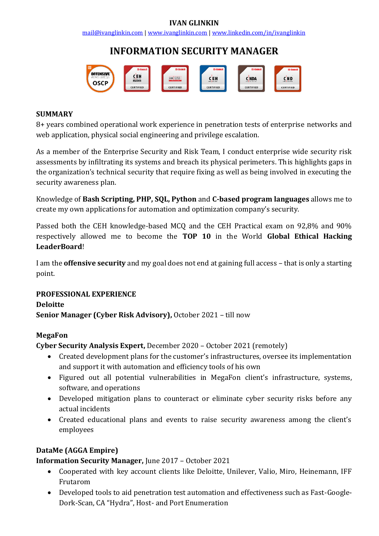#### **IVAN GLINKIN**

[mail@ivanglinkin.com](mailto:mail@ivanglinkin.com) [| www.ivanglinkin.com](http://www.ivanglinkin.com/) [| www.linkedin.com/in/ivanglinkin](http://www.linkedin.com/in/ivanglinkin)

# **INFORMATION SECURITY MANAGER**



#### **SUMMARY**

8+ years combined operational work experience in penetration tests of enterprise networks and web application, physical social engineering and privilege escalation.

As a member of the Enterprise Security and Risk Team, I conduct enterprise wide security risk assessments by infiltrating its systems and breach its physical perimeters. This highlights gaps in the organization's technical security that require fixing as well as being involved in executing the security awareness plan.

Knowledge of **Bash Scripting, PHP, SQL, Python** and **C-based program languages** allows me to create my own applications for automation and optimization company's security.

Passed both the CEH knowledge-based MCQ and the CEH Practical exam on 92,8% and 90% respectively allowed me to become the **TOP 10** in the World **Global Ethical Hacking LeaderBoard**!

I am the **offensive security** and my goal does not end at gaining full access – that is only a starting point.

## **PROFESSIONAL EXPERIENCE Deloitte Senior Manager (Cyber Risk Advisory),** October 2021 – till now

#### **MegaFon**

**Cyber Security Analysis Expert,** December 2020 – October 2021 (remotely)

- Created development plans for the customer's infrastructures, oversee its implementation and support it with automation and efficiency tools of his own
- Figured out all potential vulnerabilities in MegaFon client's infrastructure, systems, software, and operations
- Developed mitigation plans to counteract or eliminate cyber security risks before any actual incidents
- Created educational plans and events to raise security awareness among the client's employees

## **DataMe (AGGA Empire)**

#### **Information Security Manager,** June 2017 – October 2021

- Cooperated with key account clients like Deloitte, Unilever, Valio, Miro, Heinemann, IFF Frutarom
- Developed tools to aid penetration test automation and effectiveness such as Fast-Google-Dork-Scan, CA "Hydra", Host- and Port Enumeration